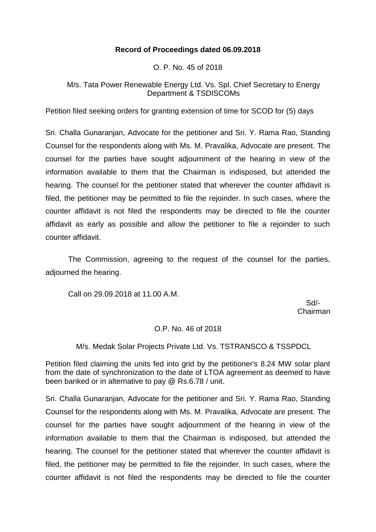# **Record of Proceedings dated 06.09.2018**

O. P. No. 45 of 2018

# M/s. Tata Power Renewable Energy Ltd. Vs. Spl. Chief Secretary to Energy Department & TSDISCOMs

Petition filed seeking orders for granting extension of time for SCOD for (5) days

Sri. Challa Gunaranjan, Advocate for the petitioner and Sri. Y. Rama Rao, Standing Counsel for the respondents along with Ms. M. Pravalika, Advocate are present. The counsel for the parties have sought adjournment of the hearing in view of the information available to them that the Chairman is indisposed, but attended the hearing. The counsel for the petitioner stated that wherever the counter affidavit is filed, the petitioner may be permitted to file the rejoinder. In such cases, where the counter affidavit is not filed the respondents may be directed to file the counter affidavit as early as possible and allow the petitioner to file a rejoinder to such counter affidavit.

The Commission, agreeing to the request of the counsel for the parties, adjourned the hearing.

Call on 29.09.2018 at 11.00 A.M.

 Sd/- Chairman

# O.P. No. 46 of 2018

M/s. Medak Solar Projects Private Ltd. Vs. TSTRANSCO & TSSPDCL

Petition filed claiming the units fed into grid by the petitioner's 8.24 MW solar plant from the date of synchronization to the date of LTOA agreement as deemed to have been banked or in alternative to pay @ Rs.6.78 / unit.

Sri. Challa Gunaranjan, Advocate for the petitioner and Sri. Y. Rama Rao, Standing Counsel for the respondents along with Ms. M. Pravalika, Advocate are present. The counsel for the parties have sought adjournment of the hearing in view of the information available to them that the Chairman is indisposed, but attended the hearing. The counsel for the petitioner stated that wherever the counter affidavit is filed, the petitioner may be permitted to file the rejoinder. In such cases, where the counter affidavit is not filed the respondents may be directed to file the counter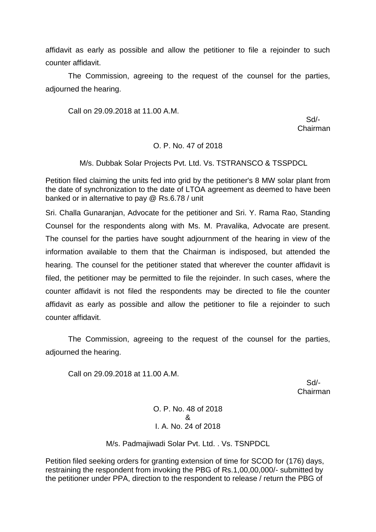affidavit as early as possible and allow the petitioner to file a rejoinder to such counter affidavit.

The Commission, agreeing to the request of the counsel for the parties, adjourned the hearing.

Call on 29.09.2018 at 11.00 A.M.

 Sd/- Chairman

#### O. P. No. 47 of 2018

#### M/s. Dubbak Solar Projects Pvt. Ltd. Vs. TSTRANSCO & TSSPDCL

Petition filed claiming the units fed into grid by the petitioner's 8 MW solar plant from the date of synchronization to the date of LTOA agreement as deemed to have been banked or in alternative to pay @ Rs.6.78 / unit

Sri. Challa Gunaranjan, Advocate for the petitioner and Sri. Y. Rama Rao, Standing Counsel for the respondents along with Ms. M. Pravalika, Advocate are present. The counsel for the parties have sought adjournment of the hearing in view of the information available to them that the Chairman is indisposed, but attended the hearing. The counsel for the petitioner stated that wherever the counter affidavit is filed, the petitioner may be permitted to file the rejoinder. In such cases, where the counter affidavit is not filed the respondents may be directed to file the counter affidavit as early as possible and allow the petitioner to file a rejoinder to such counter affidavit.

The Commission, agreeing to the request of the counsel for the parties, adjourned the hearing.

Call on 29.09.2018 at 11.00 A.M.

 Sd/- Chairman

> O. P. No. 48 of 2018 & I. A. No. 24 of 2018

M/s. Padmajiwadi Solar Pvt. Ltd. . Vs. TSNPDCL

Petition filed seeking orders for granting extension of time for SCOD for (176) days, restraining the respondent from invoking the PBG of Rs.1,00,00,000/- submitted by the petitioner under PPA, direction to the respondent to release / return the PBG of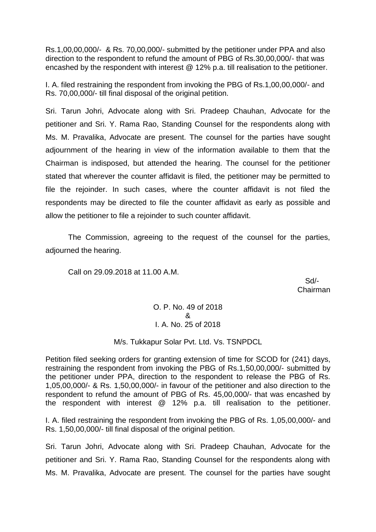Rs.1,00,00,000/- & Rs. 70,00,000/- submitted by the petitioner under PPA and also direction to the respondent to refund the amount of PBG of Rs.30,00,000/- that was encashed by the respondent with interest @ 12% p.a. till realisation to the petitioner.

I. A. filed restraining the respondent from invoking the PBG of Rs.1,00,00,000/- and Rs. 70,00,000/- till final disposal of the original petition.

Sri. Tarun Johri, Advocate along with Sri. Pradeep Chauhan, Advocate for the petitioner and Sri. Y. Rama Rao, Standing Counsel for the respondents along with Ms. M. Pravalika, Advocate are present. The counsel for the parties have sought adjournment of the hearing in view of the information available to them that the Chairman is indisposed, but attended the hearing. The counsel for the petitioner stated that wherever the counter affidavit is filed, the petitioner may be permitted to file the rejoinder. In such cases, where the counter affidavit is not filed the respondents may be directed to file the counter affidavit as early as possible and allow the petitioner to file a rejoinder to such counter affidavit.

The Commission, agreeing to the request of the counsel for the parties, adjourned the hearing.

Call on 29.09.2018 at 11.00 A.M.

 Sd/- Chairman

> O. P. No. 49 of 2018 & I. A. No. 25 of 2018

### M/s. Tukkapur Solar Pvt. Ltd. Vs. TSNPDCL

Petition filed seeking orders for granting extension of time for SCOD for (241) days, restraining the respondent from invoking the PBG of Rs.1,50,00,000/- submitted by the petitioner under PPA, direction to the respondent to release the PBG of Rs. 1,05,00,000/- & Rs. 1,50,00,000/- in favour of the petitioner and also direction to the respondent to refund the amount of PBG of Rs. 45,00,000/- that was encashed by the respondent with interest @ 12% p.a. till realisation to the petitioner.

I. A. filed restraining the respondent from invoking the PBG of Rs. 1,05,00,000/- and Rs. 1,50,00,000/- till final disposal of the original petition.

Sri. Tarun Johri, Advocate along with Sri. Pradeep Chauhan, Advocate for the petitioner and Sri. Y. Rama Rao, Standing Counsel for the respondents along with Ms. M. Pravalika, Advocate are present. The counsel for the parties have sought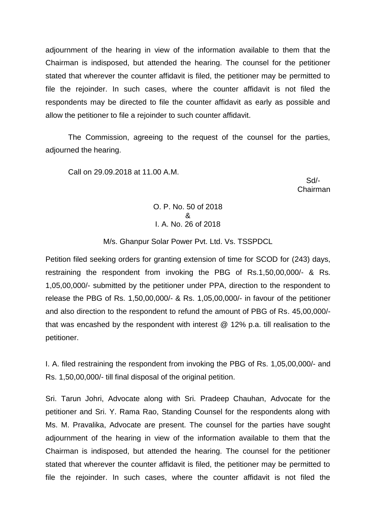adjournment of the hearing in view of the information available to them that the Chairman is indisposed, but attended the hearing. The counsel for the petitioner stated that wherever the counter affidavit is filed, the petitioner may be permitted to file the rejoinder. In such cases, where the counter affidavit is not filed the respondents may be directed to file the counter affidavit as early as possible and allow the petitioner to file a rejoinder to such counter affidavit.

The Commission, agreeing to the request of the counsel for the parties, adjourned the hearing.

Call on 29.09.2018 at 11.00 A.M.

 Sd/- Chairman

## O. P. No. 50 of 2018 & I. A. No. 26 of 2018

M/s. Ghanpur Solar Power Pvt. Ltd. Vs. TSSPDCL

Petition filed seeking orders for granting extension of time for SCOD for (243) days, restraining the respondent from invoking the PBG of Rs.1,50,00,000/- & Rs. 1,05,00,000/- submitted by the petitioner under PPA, direction to the respondent to release the PBG of Rs. 1,50,00,000/- & Rs. 1,05,00,000/- in favour of the petitioner and also direction to the respondent to refund the amount of PBG of Rs. 45,00,000/ that was encashed by the respondent with interest @ 12% p.a. till realisation to the petitioner.

I. A. filed restraining the respondent from invoking the PBG of Rs. 1,05,00,000/- and Rs. 1,50,00,000/- till final disposal of the original petition.

Sri. Tarun Johri, Advocate along with Sri. Pradeep Chauhan, Advocate for the petitioner and Sri. Y. Rama Rao, Standing Counsel for the respondents along with Ms. M. Pravalika, Advocate are present. The counsel for the parties have sought adjournment of the hearing in view of the information available to them that the Chairman is indisposed, but attended the hearing. The counsel for the petitioner stated that wherever the counter affidavit is filed, the petitioner may be permitted to file the rejoinder. In such cases, where the counter affidavit is not filed the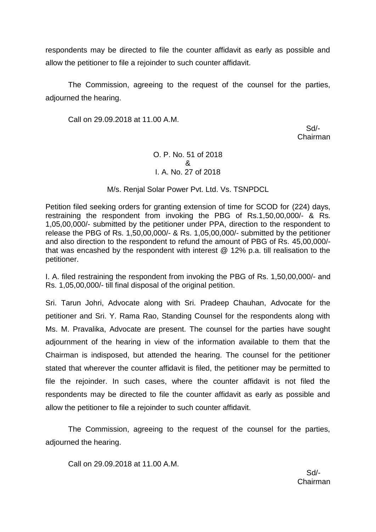respondents may be directed to file the counter affidavit as early as possible and allow the petitioner to file a rejoinder to such counter affidavit.

The Commission, agreeing to the request of the counsel for the parties, adjourned the hearing.

Call on 29.09.2018 at 11.00 A.M.

 Sd/- Chairman

# O. P. No. 51 of 2018 & I. A. No. 27 of 2018

# M/s. Renjal Solar Power Pvt. Ltd. Vs. TSNPDCL

Petition filed seeking orders for granting extension of time for SCOD for (224) days, restraining the respondent from invoking the PBG of Rs.1,50,00,000/- & Rs. 1,05,00,000/- submitted by the petitioner under PPA, direction to the respondent to release the PBG of Rs. 1,50,00,000/- & Rs. 1,05,00,000/- submitted by the petitioner and also direction to the respondent to refund the amount of PBG of Rs. 45,00,000/ that was encashed by the respondent with interest @ 12% p.a. till realisation to the petitioner.

I. A. filed restraining the respondent from invoking the PBG of Rs. 1,50,00,000/- and Rs. 1,05,00,000/- till final disposal of the original petition.

Sri. Tarun Johri, Advocate along with Sri. Pradeep Chauhan, Advocate for the petitioner and Sri. Y. Rama Rao, Standing Counsel for the respondents along with Ms. M. Pravalika, Advocate are present. The counsel for the parties have sought adjournment of the hearing in view of the information available to them that the Chairman is indisposed, but attended the hearing. The counsel for the petitioner stated that wherever the counter affidavit is filed, the petitioner may be permitted to file the rejoinder. In such cases, where the counter affidavit is not filed the respondents may be directed to file the counter affidavit as early as possible and allow the petitioner to file a rejoinder to such counter affidavit.

The Commission, agreeing to the request of the counsel for the parties, adjourned the hearing.

Call on 29.09.2018 at 11.00 A.M.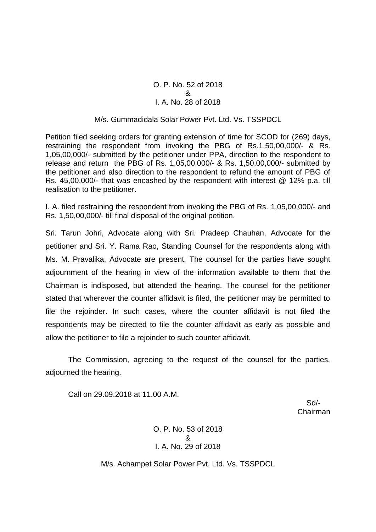## O. P. No. 52 of 2018 & I. A. No. 28 of 2018

### M/s. Gummadidala Solar Power Pvt. Ltd. Vs. TSSPDCL

Petition filed seeking orders for granting extension of time for SCOD for (269) days, restraining the respondent from invoking the PBG of Rs.1,50,00,000/- & Rs. 1,05,00,000/- submitted by the petitioner under PPA, direction to the respondent to release and return the PBG of Rs. 1,05,00,000/- & Rs. 1,50,00,000/- submitted by the petitioner and also direction to the respondent to refund the amount of PBG of Rs. 45,00,000/- that was encashed by the respondent with interest @ 12% p.a. till realisation to the petitioner.

I. A. filed restraining the respondent from invoking the PBG of Rs. 1,05,00,000/- and Rs. 1,50,00,000/- till final disposal of the original petition.

Sri. Tarun Johri, Advocate along with Sri. Pradeep Chauhan, Advocate for the petitioner and Sri. Y. Rama Rao, Standing Counsel for the respondents along with Ms. M. Pravalika, Advocate are present. The counsel for the parties have sought adjournment of the hearing in view of the information available to them that the Chairman is indisposed, but attended the hearing. The counsel for the petitioner stated that wherever the counter affidavit is filed, the petitioner may be permitted to file the rejoinder. In such cases, where the counter affidavit is not filed the respondents may be directed to file the counter affidavit as early as possible and allow the petitioner to file a rejoinder to such counter affidavit.

The Commission, agreeing to the request of the counsel for the parties, adjourned the hearing.

Call on 29.09.2018 at 11.00 A.M.

 Sd/- Chairman

> O. P. No. 53 of 2018 & I. A. No. 29 of 2018

M/s. Achampet Solar Power Pvt. Ltd. Vs. TSSPDCL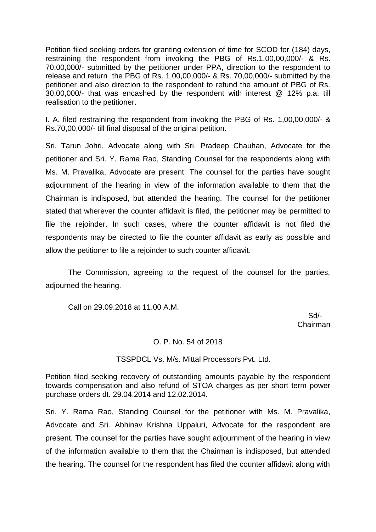Petition filed seeking orders for granting extension of time for SCOD for (184) days, restraining the respondent from invoking the PBG of Rs.1,00,00,000/- & Rs. 70,00,000/- submitted by the petitioner under PPA, direction to the respondent to release and return the PBG of Rs. 1,00,00,000/- & Rs. 70,00,000/- submitted by the petitioner and also direction to the respondent to refund the amount of PBG of Rs. 30,00,000/- that was encashed by the respondent with interest @ 12% p.a. till realisation to the petitioner.

I. A. filed restraining the respondent from invoking the PBG of Rs. 1,00,00,000/- & Rs.70,00,000/- till final disposal of the original petition.

Sri. Tarun Johri, Advocate along with Sri. Pradeep Chauhan, Advocate for the petitioner and Sri. Y. Rama Rao, Standing Counsel for the respondents along with Ms. M. Pravalika, Advocate are present. The counsel for the parties have sought adjournment of the hearing in view of the information available to them that the Chairman is indisposed, but attended the hearing. The counsel for the petitioner stated that wherever the counter affidavit is filed, the petitioner may be permitted to file the rejoinder. In such cases, where the counter affidavit is not filed the respondents may be directed to file the counter affidavit as early as possible and allow the petitioner to file a rejoinder to such counter affidavit.

The Commission, agreeing to the request of the counsel for the parties, adjourned the hearing.

Call on 29.09.2018 at 11.00 A.M.

 Sd/- Chairman

### O. P. No. 54 of 2018

TSSPDCL Vs. M/s. Mittal Processors Pvt. Ltd.

Petition filed seeking recovery of outstanding amounts payable by the respondent towards compensation and also refund of STOA charges as per short term power purchase orders dt. 29.04.2014 and 12.02.2014.

Sri. Y. Rama Rao, Standing Counsel for the petitioner with Ms. M. Pravalika, Advocate and Sri. Abhinav Krishna Uppaluri, Advocate for the respondent are present. The counsel for the parties have sought adjournment of the hearing in view of the information available to them that the Chairman is indisposed, but attended the hearing. The counsel for the respondent has filed the counter affidavit along with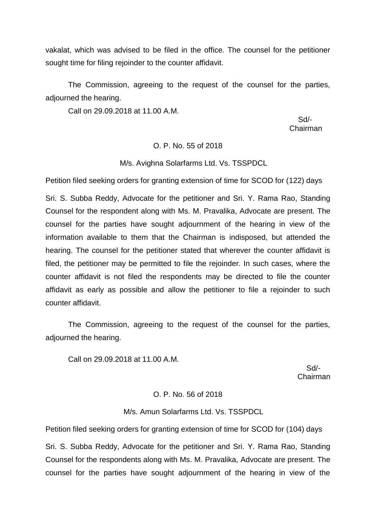vakalat, which was advised to be filed in the office. The counsel for the petitioner sought time for filing rejoinder to the counter affidavit.

The Commission, agreeing to the request of the counsel for the parties, adjourned the hearing.

Call on 29.09.2018 at 11.00 A.M.

 Sd/- Chairman

## O. P. No. 55 of 2018

M/s. Avighna Solarfarms Ltd. Vs. TSSPDCL

Petition filed seeking orders for granting extension of time for SCOD for (122) days

Sri. S. Subba Reddy, Advocate for the petitioner and Sri. Y. Rama Rao, Standing Counsel for the respondent along with Ms. M. Pravalika, Advocate are present. The counsel for the parties have sought adjournment of the hearing in view of the information available to them that the Chairman is indisposed, but attended the hearing. The counsel for the petitioner stated that wherever the counter affidavit is filed, the petitioner may be permitted to file the rejoinder. In such cases, where the counter affidavit is not filed the respondents may be directed to file the counter affidavit as early as possible and allow the petitioner to file a rejoinder to such counter affidavit.

The Commission, agreeing to the request of the counsel for the parties, adjourned the hearing.

Call on 29.09.2018 at 11.00 A.M.

 Sd/- Chairman

#### O. P. No. 56 of 2018

## M/s. Amun Solarfarms Ltd. Vs. TSSPDCL

Petition filed seeking orders for granting extension of time for SCOD for (104) days

Sri. S. Subba Reddy, Advocate for the petitioner and Sri. Y. Rama Rao, Standing Counsel for the respondents along with Ms. M. Pravalika, Advocate are present. The counsel for the parties have sought adjournment of the hearing in view of the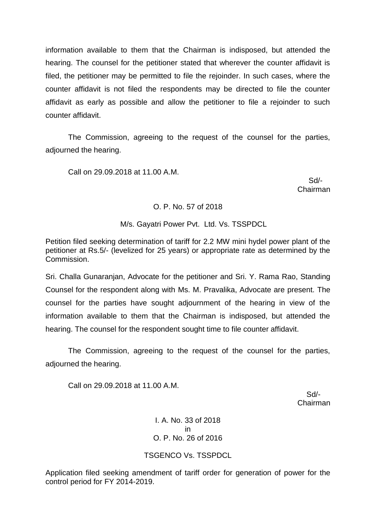information available to them that the Chairman is indisposed, but attended the hearing. The counsel for the petitioner stated that wherever the counter affidavit is filed, the petitioner may be permitted to file the rejoinder. In such cases, where the counter affidavit is not filed the respondents may be directed to file the counter affidavit as early as possible and allow the petitioner to file a rejoinder to such counter affidavit.

The Commission, agreeing to the request of the counsel for the parties, adjourned the hearing.

Call on 29.09.2018 at 11.00 A.M.

 Sd/- Chairman

## O. P. No. 57 of 2018

M/s. Gayatri Power Pvt. Ltd. Vs. TSSPDCL

Petition filed seeking determination of tariff for 2.2 MW mini hydel power plant of the petitioner at Rs.5/- (levelized for 25 years) or appropriate rate as determined by the Commission.

Sri. Challa Gunaranjan, Advocate for the petitioner and Sri. Y. Rama Rao, Standing Counsel for the respondent along with Ms. M. Pravalika, Advocate are present. The counsel for the parties have sought adjournment of the hearing in view of the information available to them that the Chairman is indisposed, but attended the hearing. The counsel for the respondent sought time to file counter affidavit.

The Commission, agreeing to the request of the counsel for the parties, adjourned the hearing.

Call on 29.09.2018 at 11.00 A.M.

 Sd/- Chairman

> I. A. No. 33 of 2018 in O. P. No. 26 of 2016

TSGENCO Vs. TSSPDCL

Application filed seeking amendment of tariff order for generation of power for the control period for FY 2014-2019.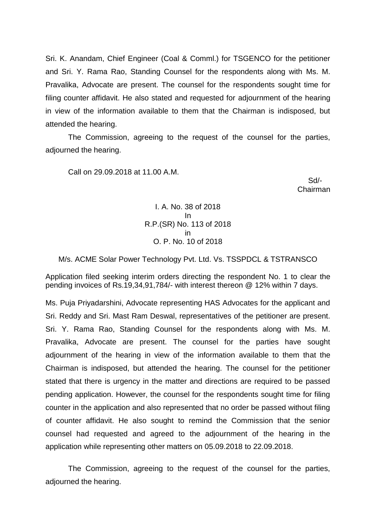Sri. K. Anandam, Chief Engineer (Coal & Comml.) for TSGENCO for the petitioner and Sri. Y. Rama Rao, Standing Counsel for the respondents along with Ms. M. Pravalika, Advocate are present. The counsel for the respondents sought time for filing counter affidavit. He also stated and requested for adjournment of the hearing in view of the information available to them that the Chairman is indisposed, but attended the hearing.

The Commission, agreeing to the request of the counsel for the parties, adjourned the hearing.

Call on 29.09.2018 at 11.00 A.M.

 Sd/- Chairman

> I. A. No. 38 of 2018 In R.P.(SR) No. 113 of 2018 in O. P. No. 10 of 2018

M/s. ACME Solar Power Technology Pvt. Ltd. Vs. TSSPDCL & TSTRANSCO

Application filed seeking interim orders directing the respondent No. 1 to clear the pending invoices of Rs.19,34,91,784/- with interest thereon @ 12% within 7 days.

Ms. Puja Priyadarshini, Advocate representing HAS Advocates for the applicant and Sri. Reddy and Sri. Mast Ram Deswal, representatives of the petitioner are present. Sri. Y. Rama Rao, Standing Counsel for the respondents along with Ms. M. Pravalika, Advocate are present. The counsel for the parties have sought adjournment of the hearing in view of the information available to them that the Chairman is indisposed, but attended the hearing. The counsel for the petitioner stated that there is urgency in the matter and directions are required to be passed pending application. However, the counsel for the respondents sought time for filing counter in the application and also represented that no order be passed without filing of counter affidavit. He also sought to remind the Commission that the senior counsel had requested and agreed to the adjournment of the hearing in the application while representing other matters on 05.09.2018 to 22.09.2018.

The Commission, agreeing to the request of the counsel for the parties, adjourned the hearing.